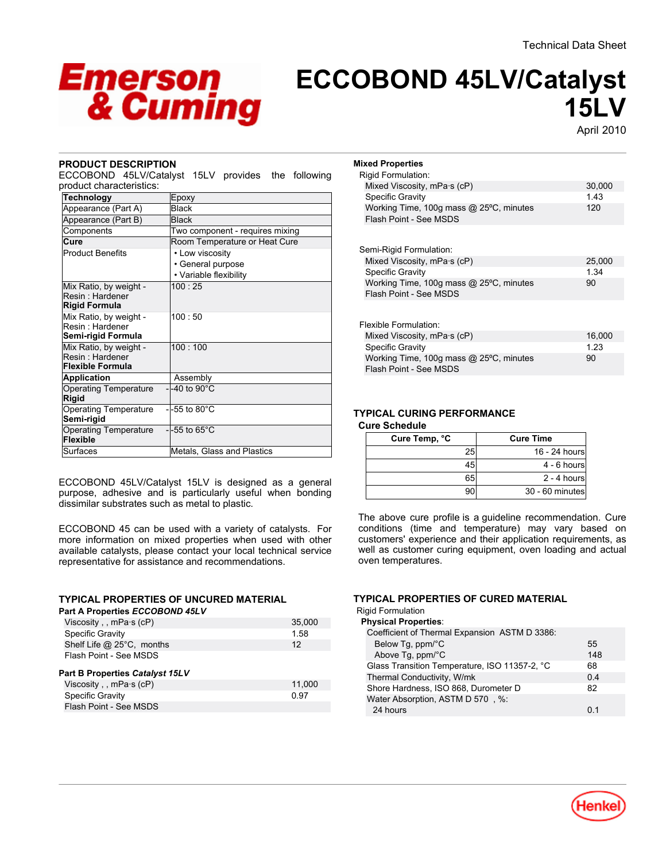

# **ECCOBOND 45LV/Catalyst 15LV**

April-2010

# **PRODUCT DESCRIPTION**

ECCOBOND 45LV/Catalyst 15LV provides the following product characteristics:

| Technology                                | Epoxy                           |
|-------------------------------------------|---------------------------------|
| Appearance (Part A)                       | <b>Black</b>                    |
| Appearance (Part B)                       | <b>Black</b>                    |
| Components                                | Two component - requires mixing |
| Cure                                      | Room Temperature or Heat Cure   |
| <b>Product Benefits</b>                   | • Low viscosity                 |
|                                           | • General purpose               |
|                                           | • Variable flexibility          |
| Mix Ratio, by weight -                    | $100 \cdot 25$                  |
| Resin: Hardener                           |                                 |
| <b>Rigid Formula</b>                      |                                 |
| Mix Ratio, by weight -<br>Resin: Hardener | $100 \cdot 50$                  |
| Semi-rigid Formula                        |                                 |
| Mix Ratio, by weight -                    | 100:100                         |
| Resin · Hardener                          |                                 |
| <b>Flexible Formula</b>                   |                                 |
| <b>Application</b>                        | Assembly                        |
| <b>Operating Temperature</b>              | $-1-40$ to $90^{\circ}$ C       |
| Rigid                                     |                                 |
| <b>Operating Temperature</b>              | -55 to $80^{\circ}$ C           |
| Semi-rigid                                |                                 |
| <b>Operating Temperature</b>              | $-1-55$ to 65 $^{\circ}$ C      |
| <b>Flexible</b>                           |                                 |
| Surfaces                                  | Metals, Glass and Plastics      |

ECCOBOND 45LV/Catalyst 15LV is designed as a general purpose, adhesive and is particularly useful when bonding dissimilar substrates such as metal to plastic.

ECCOBOND 45 can be used with a variety of catalysts. For more information on mixed properties when used with other available catalysts, please contact your local technical service representative for assistance and recommendations.

# **TYPICAL PROPERTIES OF UNCURED MATERIAL**

| 1.58   |
|--------|
|        |
| 12     |
|        |
|        |
| 11,000 |
| 0.97   |
|        |
|        |

| <b>Mixed Properties</b>                                           |        |  |  |
|-------------------------------------------------------------------|--------|--|--|
| <b>Rigid Formulation:</b>                                         |        |  |  |
| Mixed Viscosity, $mPa·s$ (cP)                                     | 30,000 |  |  |
| Specific Gravity                                                  | 1.43   |  |  |
| Working Time, 100g mass @ 25°C, minutes<br>Flash Point - See MSDS | 120    |  |  |
| Semi-Rigid Formulation:                                           |        |  |  |
| Mixed Viscosity, mPa·s (cP)                                       | 25,000 |  |  |
| <b>Specific Gravity</b>                                           | 1 34   |  |  |
| Working Time, 100g mass @ 25°C, minutes<br>Flash Point - See MSDS | 90     |  |  |
| Flexible Formulation:                                             |        |  |  |
| Mixed Viscosity, $mPa·s$ (cP)                                     | 16,000 |  |  |
| <b>Specific Gravity</b>                                           | 1 23   |  |  |
| Working Time, 100g mass @ 25°C, minutes<br>Flash Point - See MSDS | 90     |  |  |
|                                                                   |        |  |  |

# **TYPICAL CURING PERFORMANCE**

#### **Cure Schedule**

| Cure Temp, °C | <b>Cure Time</b> |
|---------------|------------------|
| 25            | 16 - 24 hours    |
| 45            | $4 - 6$ hours    |
| 65            | $2 - 4$ hours    |
|               | 30 - 60 minutes  |

The above cure profile is a guideline recommendation. Cure conditions (time and temperature) may vary based on customers' experience and their application requirements, as well as customer curing equipment, oven loading and actual oven temperatures.

#### **TYPICAL PROPERTIES OF CURED MATERIAL**

Rigid Formulation

| <b>Physical Properties:</b>                   |     |
|-----------------------------------------------|-----|
| Coefficient of Thermal Expansion ASTM D 3386: |     |
| Below Tg, ppm/°C                              | 55  |
| Above Tg, ppm/°C                              | 148 |
| Glass Transition Temperature, ISO 11357-2, °C | 68  |
| Thermal Conductivity, W/mk                    | 0.4 |
| Shore Hardness, ISO 868, Durometer D          | 82  |
| Water Absorption, ASTM D 570, %:              |     |
| 24 hours                                      | በ 1 |

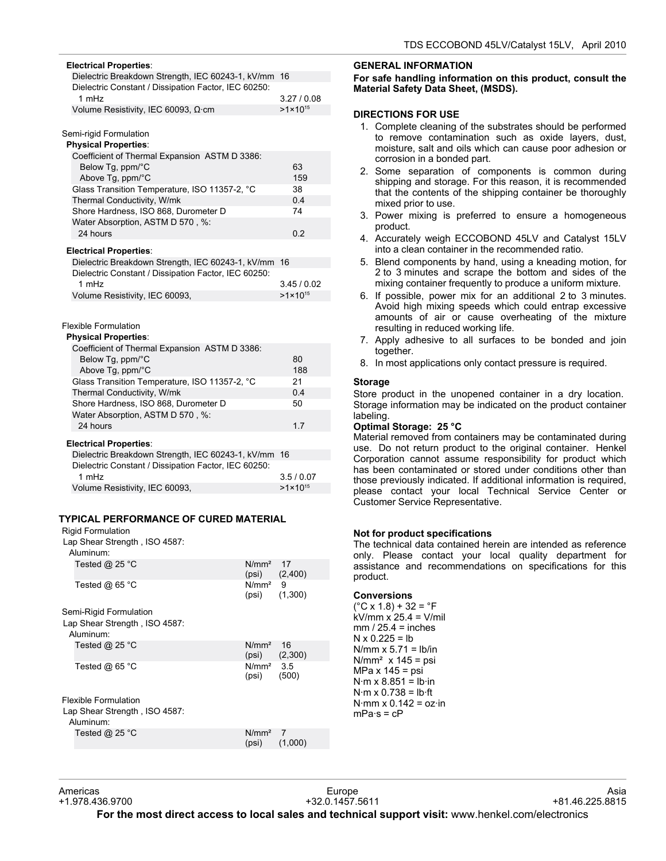| <b>Electrical Properties:</b>                        |                   |  |  |  |
|------------------------------------------------------|-------------------|--|--|--|
| Dielectric Breakdown Strength, IEC 60243-1, kV/mm 16 |                   |  |  |  |
| Dielectric Constant / Dissipation Factor, IEC 60250: |                   |  |  |  |
| 1 mHz                                                | 3.27/0.08         |  |  |  |
| Volume Resistivity, IEC 60093, $\Omega$ ·cm          | $>1\times10^{15}$ |  |  |  |
|                                                      |                   |  |  |  |

Semi-rigid Formulation

#### **Physical Properties**:

| Coefficient of Thermal Expansion ASTM D 3386: |     |
|-----------------------------------------------|-----|
| Below Tg, ppm/°C                              | 63  |
| Above Tg, ppm/°C                              | 159 |
| Glass Transition Temperature, ISO 11357-2, °C | 38  |
| Thermal Conductivity, W/mk                    | 0.4 |
| Shore Hardness, ISO 868, Durometer D          | 74  |
| Water Absorption, ASTM D 570, %:              |     |
| 24 hours                                      | 0.2 |
|                                               |     |
| <b>Electrical Properties:</b>                 |     |

| Dielectric Breakdown Strength, IEC 60243-1, kV/mm 16 |                   |
|------------------------------------------------------|-------------------|
| Dielectric Constant / Dissipation Factor, IEC 60250: |                   |
| 1 $mHz$                                              | 3.45/0.02         |
| Volume Resistivity, IEC 60093,                       | $>1\times10^{15}$ |
|                                                      |                   |

#### Flexible Formulation

#### **Physical Properties**:

| Coefficient of Thermal Expansion ASTM D 3386:        |                   |  |
|------------------------------------------------------|-------------------|--|
| Below Tg, ppm/°C                                     | 80                |  |
| Above Tq, ppm/°C                                     | 188               |  |
| Glass Transition Temperature, ISO 11357-2, °C        | 21                |  |
| Thermal Conductivity, W/mk                           | 0.4               |  |
| Shore Hardness, ISO 868, Durometer D                 | 50                |  |
| Water Absorption, ASTM D 570, %:                     |                   |  |
| 24 hours                                             | 1.7               |  |
| <b>Electrical Properties:</b>                        |                   |  |
| Dielectric Breakdown Strength, IEC 60243-1, kV/mm 16 |                   |  |
| Dielectric Constant / Dissipation Factor, IEC 60250: |                   |  |
| 1 $mHz$                                              | 3.5/0.07          |  |
| Volume Resistivity, IEC 60093,                       | $>1\times10^{15}$ |  |

# **TYPICAL PERFORMANCE OF CURED MATERIAL**

#### Rigid Formulation

Lap Shear Strength , ISO 4587:

| Aluminum:                                  |                            |               |
|--------------------------------------------|----------------------------|---------------|
| Tested $@$ 25 °C                           | N/mm <sup>2</sup><br>(psi) | 17<br>(2,400) |
| Tested $@65$ °C                            | N/mm <sup>2</sup><br>(psi) | 9<br>(1,300)  |
| Semi-Rigid Formulation                     |                            |               |
| Lap Shear Strength, ISO 4587:<br>Aluminum: |                            |               |
| Tested $@$ 25 °C                           | N/mm <sup>2</sup><br>(psi) | 16<br>(2,300) |
| Tested $@65$ °C                            | $N/mm2$ 3.5<br>(psi)       | (500)         |
| Flexible Formulation                       |                            |               |
| Lap Shear Strength, ISO 4587:<br>Aluminum: |                            |               |
| Tested $@$ 25 $^{\circ}$ C                 | $N/mm2$ 7<br>(psi)         | (1,000)       |
|                                            |                            |               |

#### **GENERAL INFORMATION**

#### **For safe handling information on this product, consult the Material Safety Data Sheet, (MSDS).**

# **DIRECTIONS FOR USE**

- 1. Complete cleaning of the substrates should be performed to remove contamination such as oxide layers, dust, moisture, salt and oils which can cause poor adhesion or corrosion in a bonded part.
- 2. Some separation of components is common during shipping and storage. For this reason, it is recommended that the contents of the shipping container be thoroughly mixed prior to use.
- 3. Power mixing is preferred to ensure a homogeneous product.
- 4. Accurately weigh ECCOBOND 45LV and Catalyst 15LV into a clean container in the recommended ratio.
- 5. Blend components by hand, using a kneading motion, for 2 to 3 minutes and scrape the bottom and sides of the mixing container frequently to produce a uniform mixture.
- 6. If possible, power mix for an additional 2 to 3 minutes. Avoid high mixing speeds which could entrap excessive amounts of air or cause overheating of the mixture resulting in reduced working life.
- 7. Apply adhesive to all surfaces to be bonded and join together.
- 8. In most applications only contact pressure is required.

# **Storage**

Store product in the unopened container in a dry location. Storage information may be indicated on the product container labeling.

### **Optimal Storage: 25 °C**

Material removed from containers may be contaminated during use. Do not return product to the original container. Henkel Corporation cannot assume responsibility for product which has been contaminated or stored under conditions other than those previously indicated. If additional information is required, please contact your local Technical Service Center or Customer Service Representative.

#### **Not for product specifications**

The technical data contained herein are intended as reference only. Please contact your local quality department for assistance and recommendations on specifications for this product.

#### **Conversions**

 $(^{\circ}C$  x 1.8) + 32 =  $^{\circ}F$  $kV/mm x^2$  25.4 = V/mil  $mm / 25.4 = inches$  $N \times 0.225 = lb$ N/mm  $x$  5.71 = lb/in  $N/mm<sup>2</sup>$  x 145 = psi  $MPa \times 145 =$  psi  $N·m \times 8.851 = lb·in$  $N·m \times 0.738 = lb·ft$  $N·mm \times 0.142 = oz·in$  $mPa·s = cP$